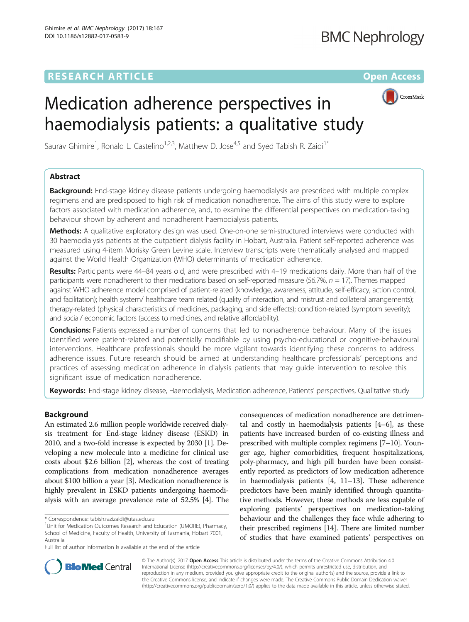## **RESEARCH ARTICLE External Structure Community Community Community Community Community Community Community Community**



# Medication adherence perspectives in haemodialysis patients: a qualitative study

Saurav Ghimire<sup>1</sup>, Ronald L. Castelino<sup>1,2,3</sup>, Matthew D. Jose<sup>4,5</sup> and Syed Tabish R. Zaidi<sup>1\*</sup>

## Abstract

**Background:** End-stage kidney disease patients undergoing haemodialysis are prescribed with multiple complex regimens and are predisposed to high risk of medication nonadherence. The aims of this study were to explore factors associated with medication adherence, and, to examine the differential perspectives on medication-taking behaviour shown by adherent and nonadherent haemodialysis patients.

Methods: A qualitative exploratory design was used. One-on-one semi-structured interviews were conducted with 30 haemodialysis patients at the outpatient dialysis facility in Hobart, Australia. Patient self-reported adherence was measured using 4-item Morisky Green Levine scale. Interview transcripts were thematically analysed and mapped against the World Health Organization (WHO) determinants of medication adherence.

Results: Participants were 44–84 years old, and were prescribed with 4–19 medications daily. More than half of the participants were nonadherent to their medications based on self-reported measure (56.7%,  $n = 17$ ). Themes mapped against WHO adherence model comprised of patient-related (knowledge, awareness, attitude, self-efficacy, action control, and facilitation); health system/ healthcare team related (quality of interaction, and mistrust and collateral arrangements); therapy-related (physical characteristics of medicines, packaging, and side effects); condition-related (symptom severity); and social/ economic factors (access to medicines, and relative affordability).

Conclusions: Patients expressed a number of concerns that led to nonadherence behaviour. Many of the issues identified were patient-related and potentially modifiable by using psycho-educational or cognitive-behavioural interventions. Healthcare professionals should be more vigilant towards identifying these concerns to address adherence issues. Future research should be aimed at understanding healthcare professionals' perceptions and practices of assessing medication adherence in dialysis patients that may guide intervention to resolve this significant issue of medication nonadherence.

Keywords: End-stage kidney disease, Haemodialysis, Medication adherence, Patients' perspectives, Qualitative study

## Background

An estimated 2.6 million people worldwide received dialysis treatment for End-stage kidney disease (ESKD) in 2010, and a two-fold increase is expected by 2030 [[1\]](#page-8-0). Developing a new molecule into a medicine for clinical use costs about \$2.6 billion [\[2](#page-8-0)], whereas the cost of treating complications from medication nonadherence averages about \$100 billion a year [\[3](#page-8-0)]. Medication nonadherence is highly prevalent in ESKD patients undergoing haemodialysis with an average prevalence rate of 52.5% [\[4](#page-8-0)]. The

consequences of medication nonadherence are detrimental and costly in haemodialysis patients [\[4](#page-8-0)–[6\]](#page-8-0), as these patients have increased burden of co-existing illness and prescribed with multiple complex regimens [\[7](#page-8-0)–[10](#page-8-0)]. Younger age, higher comorbidities, frequent hospitalizations, poly-pharmacy, and high pill burden have been consistently reported as predictors of low medication adherence in haemodialysis patients [[4](#page-8-0), [11](#page-8-0)–[13](#page-8-0)]. These adherence predictors have been mainly identified through quantitative methods. However, these methods are less capable of exploring patients' perspectives on medication-taking behaviour and the challenges they face while adhering to their prescribed regimens [[14](#page-8-0)]. There are limited number of studies that have examined patients' perspectives on



© The Author(s). 2017 **Open Access** This article is distributed under the terms of the Creative Commons Attribution 4.0 International License [\(http://creativecommons.org/licenses/by/4.0/](http://creativecommons.org/licenses/by/4.0/)), which permits unrestricted use, distribution, and reproduction in any medium, provided you give appropriate credit to the original author(s) and the source, provide a link to the Creative Commons license, and indicate if changes were made. The Creative Commons Public Domain Dedication waiver [\(http://creativecommons.org/publicdomain/zero/1.0/](http://creativecommons.org/publicdomain/zero/1.0/)) applies to the data made available in this article, unless otherwise stated.

<sup>\*</sup> Correspondence: [tabish.razizaidi@utas.edu.au](mailto:tabish.razizaidi@utas.edu.au) <sup>1</sup>

<sup>&</sup>lt;sup>1</sup>Unit for Medication Outcomes Research and Education (UMORE), Pharmacy, School of Medicine, Faculty of Health, University of Tasmania, Hobart 7001, Australia

Full list of author information is available at the end of the article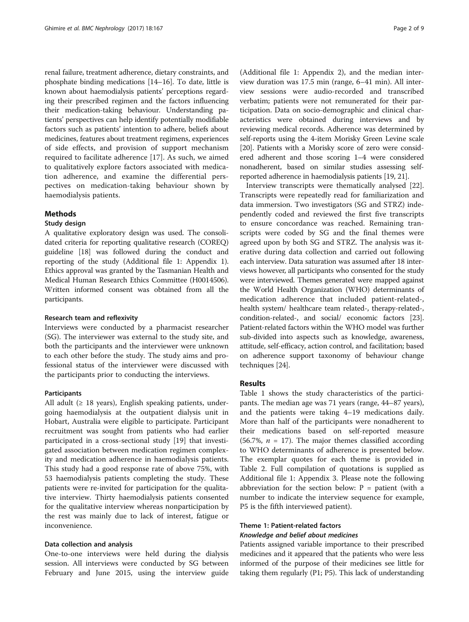renal failure, treatment adherence, dietary constraints, and phosphate binding medications [[14](#page-8-0)–[16\]](#page-8-0). To date, little is known about haemodialysis patients' perceptions regarding their prescribed regimen and the factors influencing their medication-taking behaviour. Understanding patients' perspectives can help identify potentially modifiable factors such as patients' intention to adhere, beliefs about medicines, features about treatment regimens, experiences of side effects, and provision of support mechanism required to facilitate adherence [[17\]](#page-8-0). As such, we aimed to qualitatively explore factors associated with medication adherence, and examine the differential perspectives on medication-taking behaviour shown by haemodialysis patients.

## Methods

## Study design

A qualitative exploratory design was used. The consolidated criteria for reporting qualitative research (COREQ) guideline [[18](#page-8-0)] was followed during the conduct and reporting of the study (Additional file [1](#page-7-0): Appendix 1). Ethics approval was granted by the Tasmanian Health and Medical Human Research Ethics Committee (H0014506). Written informed consent was obtained from all the participants.

## Research team and reflexivity

Interviews were conducted by a pharmacist researcher (SG). The interviewer was external to the study site, and both the participants and the interviewer were unknown to each other before the study. The study aims and professional status of the interviewer were discussed with the participants prior to conducting the interviews.

#### **Participants**

All adult ( $\geq$  18 years), English speaking patients, undergoing haemodialysis at the outpatient dialysis unit in Hobart, Australia were eligible to participate. Participant recruitment was sought from patients who had earlier participated in a cross-sectional study [\[19](#page-8-0)] that investigated association between medication regimen complexity and medication adherence in haemodialysis patients. This study had a good response rate of above 75%, with 53 haemodialysis patients completing the study. These patients were re-invited for participation for the qualitative interview. Thirty haemodialysis patients consented for the qualitative interview whereas nonparticipation by the rest was mainly due to lack of interest, fatigue or inconvenience.

## Data collection and analysis

One-to-one interviews were held during the dialysis session. All interviews were conducted by SG between February and June 2015, using the interview guide

(Additional file [1:](#page-7-0) Appendix 2), and the median interview duration was 17.5 min (range, 6–41 min). All interview sessions were audio-recorded and transcribed verbatim; patients were not remunerated for their participation. Data on socio-demographic and clinical characteristics were obtained during interviews and by reviewing medical records. Adherence was determined by self-reports using the 4-item Morisky Green Levine scale [[20](#page-8-0)]. Patients with a Morisky score of zero were considered adherent and those scoring 1–4 were considered nonadherent, based on similar studies assessing selfreported adherence in haemodialysis patients [[19](#page-8-0), [21\]](#page-8-0).

Interview transcripts were thematically analysed [\[22](#page-8-0)]. Transcripts were repeatedly read for familiarization and data immersion. Two investigators (SG and STRZ) independently coded and reviewed the first five transcripts to ensure concordance was reached. Remaining transcripts were coded by SG and the final themes were agreed upon by both SG and STRZ. The analysis was iterative during data collection and carried out following each interview. Data saturation was assumed after 18 interviews however, all participants who consented for the study were interviewed. Themes generated were mapped against the World Health Organization (WHO) determinants of medication adherence that included patient-related-, health system/ healthcare team related-, therapy-related-, condition-related-, and social/ economic factors [[23](#page-8-0)]. Patient-related factors within the WHO model was further sub-divided into aspects such as knowledge, awareness, attitude, self-efficacy, action control, and facilitation; based on adherence support taxonomy of behaviour change techniques [[24](#page-8-0)].

## Results

Table [1](#page-2-0) shows the study characteristics of the participants. The median age was 71 years (range, 44–87 years), and the patients were taking 4–19 medications daily. More than half of the participants were nonadherent to their medications based on self-reported measure (56.7%,  $n = 17$ ). The major themes classified according to WHO determinants of adherence is presented below. The exemplar quotes for each theme is provided in Table [2.](#page-3-0) Full compilation of quotations is supplied as Additional file [1:](#page-7-0) Appendix 3. Please note the following abbreviation for the section below:  $P =$  patient (with a number to indicate the interview sequence for example, P5 is the fifth interviewed patient).

## Theme 1: Patient-related factors Knowledge and belief about medicines

Patients assigned variable importance to their prescribed medicines and it appeared that the patients who were less informed of the purpose of their medicines see little for taking them regularly (P1; P5). This lack of understanding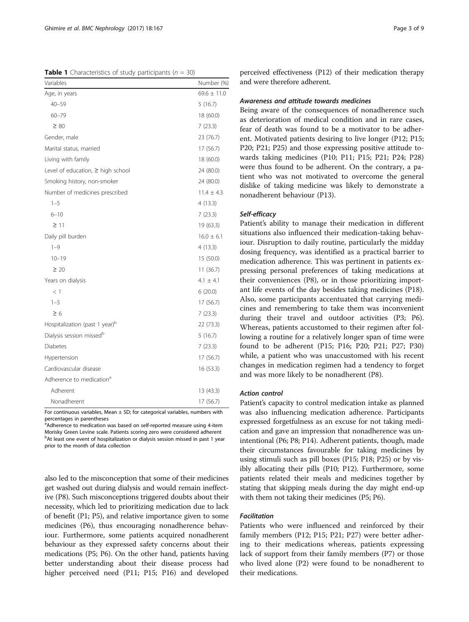<span id="page-2-0"></span>**Table 1** Characteristics of study participants ( $n = 30$ )

| Variables                                  | Number (%)      |
|--------------------------------------------|-----------------|
| Age, in years                              | $69.6 \pm 11.0$ |
| $40 - 59$                                  | 5(16.7)         |
| $60 - 79$                                  | 18 (60.0)       |
| $\geq 80$                                  | 7(23.3)         |
| Gender, male                               | 23 (76.7)       |
| Marital status, married                    | 17 (56.7)       |
| Living with family                         | 18 (60.0)       |
| Level of education, $\geq$ high school     | 24 (80.0)       |
| Smoking history, non-smoker                | 24 (80.0)       |
| Number of medicines prescribed             | $11.4 \pm 4.3$  |
| $1 - 5$                                    | 4(13.3)         |
| $6 - 10$                                   | 7(23.3)         |
| $\geq$ 11                                  | 19 (63.3)       |
| Daily pill burden                          | $16.0 \pm 6.1$  |
| $1 - 9$                                    | 4(13.3)         |
| $10 - 19$                                  | 15(50.0)        |
| $\geq 20$                                  | 11(36.7)        |
| Years on dialysis                          | $4.1 \pm 4.1$   |
| $<$ 1                                      | 6(20.0)         |
| $1 - 5$                                    | 17(56.7)        |
| $\geq 6$                                   | 7(23.3)         |
| Hospitalization (past 1 year) <sup>b</sup> | 22 (73.3)       |
| Dialysis session missed <sup>b</sup>       | 5(16.7)         |
| <b>Diabetes</b>                            | 7(23.3)         |
| Hypertension                               | 17 (56.7)       |
| Cardiovascular disease                     | 16 (53.3)       |
| Adherence to medication <sup>a</sup>       |                 |
| Adherent                                   | 13 (43.3)       |
| Nonadherent                                | 17 (56.7)       |

For continuous variables, Mean  $\pm$  SD; for categorical variables, numbers with percentages in parentheses

<sup>a</sup>Adherence to medication was based on self-reported measure using 4-item Morisky Green Levine scale. Patients scoring zero were considered adherent <sup>b</sup>At least one event of hospitalization or dialysis session missed in past 1 year prior to the month of data collection

also led to the misconception that some of their medicines get washed out during dialysis and would remain ineffective (P8). Such misconceptions triggered doubts about their necessity, which led to prioritizing medication due to lack of benefit (P1; P5), and relative importance given to some medicines (P6), thus encouraging nonadherence behaviour. Furthermore, some patients acquired nonadherent behaviour as they expressed safety concerns about their medications (P5; P6). On the other hand, patients having better understanding about their disease process had higher perceived need (P11; P15; P16) and developed

perceived effectiveness (P12) of their medication therapy and were therefore adherent.

#### Awareness and attitude towards medicines

Being aware of the consequences of nonadherence such as deterioration of medical condition and in rare cases, fear of death was found to be a motivator to be adherent. Motivated patients desiring to live longer (P12; P15; P20; P21; P25) and those expressing positive attitude towards taking medicines (P10; P11; P15; P21; P24; P28) were thus found to be adherent. On the contrary, a patient who was not motivated to overcome the general dislike of taking medicine was likely to demonstrate a nonadherent behaviour (P13).

#### Self-efficacy

Patient's ability to manage their medication in different situations also influenced their medication-taking behaviour. Disruption to daily routine, particularly the midday dosing frequency, was identified as a practical barrier to medication adherence. This was pertinent in patients expressing personal preferences of taking medications at their conveniences (P8), or in those prioritizing important life events of the day besides taking medicines (P18). Also, some participants accentuated that carrying medicines and remembering to take them was inconvenient during their travel and outdoor activities (P3; P6). Whereas, patients accustomed to their regimen after following a routine for a relatively longer span of time were found to be adherent (P15; P16; P20; P21; P27; P30) while, a patient who was unaccustomed with his recent changes in medication regimen had a tendency to forget and was more likely to be nonadherent (P8).

#### Action control

Patient's capacity to control medication intake as planned was also influencing medication adherence. Participants expressed forgetfulness as an excuse for not taking medication and gave an impression that nonadherence was unintentional (P6; P8; P14). Adherent patients, though, made their circumstances favourable for taking medicines by using stimuli such as pill boxes (P15; P18; P25) or by visibly allocating their pills (P10; P12). Furthermore, some patients related their meals and medicines together by stating that skipping meals during the day might end-up with them not taking their medicines (P5; P6).

## Facilitation

Patients who were influenced and reinforced by their family members (P12; P15; P21; P27) were better adhering to their medications whereas, patients expressing lack of support from their family members (P7) or those who lived alone (P2) were found to be nonadherent to their medications.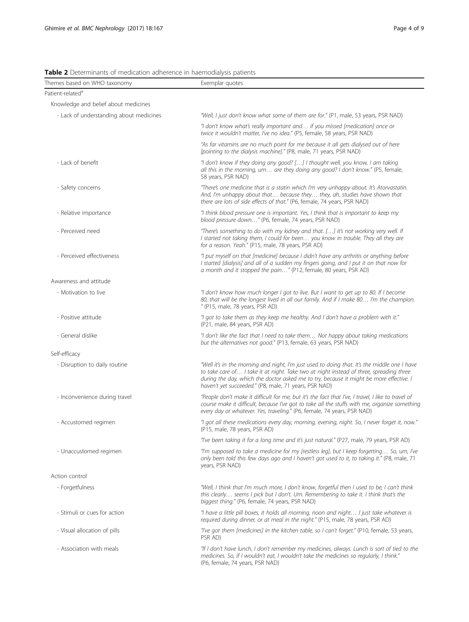<span id="page-3-0"></span>

| Table 2 Determinants of medication adherence in haemodialysis patients |                                                                                                                                                                                                                                                                                                                                             |  |
|------------------------------------------------------------------------|---------------------------------------------------------------------------------------------------------------------------------------------------------------------------------------------------------------------------------------------------------------------------------------------------------------------------------------------|--|
| Themes based on WHO taxonomy                                           | Exemplar quotes                                                                                                                                                                                                                                                                                                                             |  |
| Patient-related <sup>a</sup>                                           |                                                                                                                                                                                                                                                                                                                                             |  |
| Knowledge and belief about medicines                                   |                                                                                                                                                                                                                                                                                                                                             |  |
| - Lack of understanding about medicines                                | "Well, I just don't know what some of them are for." (P1, male, 53 years, PSR NAD)                                                                                                                                                                                                                                                          |  |
|                                                                        | "I don't know what's really important and if you missed [medication] once or<br>twice it wouldn't matter, I've no idea." (P5, female, 58 years, PSR NAD)                                                                                                                                                                                    |  |
|                                                                        | "As far vitamins are no much point for me because it all gets dialysed out of here<br>[pointing to the dialysis machine]." (P8, male, 71 years, PSR NAD)                                                                                                                                                                                    |  |
| - Lack of benefit                                                      | "I don't know if they doing any good? [] I thought well, you know, I am taking<br>all this in the morning, um are they doing any good? I don't know." (P5, female,<br>58 years, PSR NAD)                                                                                                                                                    |  |
| - Safety concerns                                                      | "There's one medicine that is a statin which I'm very unhappy about. It's Atorvastatin.<br>And, I'm unhappy about that because they they, ah, studies have shown that<br>there are lots of side effects of that." (P6, female, 74 years, PSR NAD)                                                                                           |  |
| - Relative importance                                                  | "I think blood pressure one is important. Yes, I think that is important to keep my<br>blood pressure down" (P6, female, 74 years, PSR NAD)                                                                                                                                                                                                 |  |
| - Perceived need                                                       | "There's something to do with my kidney and that. [] it's not working very well. If<br>I started not taking them, I could for been you know in trouble. They all they are<br>for a reason. Yeah." (P15, male, 78 years, PSR AD)                                                                                                             |  |
| - Perceived effectiveness                                              | "I put myself on that [medicine] because I didn't have any arthritis or anything before<br>I started [dialysis] and all of a sudden my fingers going, and I put it on that now for<br>a month and it stopped the pain" (P12, female, 80 years, PSR AD)                                                                                      |  |
| Awareness and attitude                                                 |                                                                                                                                                                                                                                                                                                                                             |  |
| - Motivation to live                                                   | "I don't know how much longer I got to live. But I want to get up to 80. If I become<br>80, that will be the longest lived in all our family. And if I make 80 I'm the champion.<br>" (P15, male, 78 years, PSR AD)                                                                                                                         |  |
| - Positive attitude                                                    | "I got to take them as they keep me healthy. And I don't have a problem with it."<br>(P21, male, 84 years, PSR AD)                                                                                                                                                                                                                          |  |
| - General dislike                                                      | "I don't like the fact that I need to take them Not happy about taking medications<br>but the alternatives not good." (P13, female, 63 years, PSR NAD)                                                                                                                                                                                      |  |
| Self-efficacy                                                          |                                                                                                                                                                                                                                                                                                                                             |  |
| - Disruption to daily routine                                          | "Well it's in the morning and night, I'm just used to doing that. It's the middle one I have<br>to take care of I take it at night. Take two at night instead of three, spreading three<br>during the day, which the doctor asked me to try, because it might be more effective. I<br>haven't yet succeeded." (P8, male, 71 years, PSR NAD) |  |
| - Inconvenience during travel                                          | "People don't make it difficult for me, but it's the fact that I've, I travel, I like to travel of<br>course make it difficult, because I've got to take all the stuffs with me, organize something<br>every day or whatever. Yes, traveling." (P6, female, 74 years, PSR NAD)                                                              |  |
| - Accustomed regimen                                                   | "I got all these medications every day, morning, evening, night. So, I never forget it, now."<br>(P15, male, 78 years, PSR AD)                                                                                                                                                                                                              |  |
|                                                                        | "I've been taking it for a long time and it's just natural." (P27, male, 79 years, PSR AD)                                                                                                                                                                                                                                                  |  |
| - Unaccustomed regimen                                                 | "I'm supposed to take a medicine for my [restless leg], but I keep forgetting So, um, I've<br>only been told this few days ago and I haven't got used to it, to taking it." (P8, male, 71<br>years, PSR NAD)                                                                                                                                |  |
| Action control                                                         |                                                                                                                                                                                                                                                                                                                                             |  |
| - Forgetfulness                                                        | "Well, I think that I'm much more, I don't know, forgetful then I used to be, I can't think<br>this clearly seems I pick but I don't. Um. Remembering to take it. I think that's the<br>biggest thing." (P6, female, 74 years, PSR NAD)                                                                                                     |  |
| - Stimuli or cues for action                                           | "I have a little pill boxes, it holds all morning, noon and night I just take whatever is<br>required during dinner, or at meal in the night." (P15, male, 78 years, PSR AD)                                                                                                                                                                |  |
| - Visual allocation of pills                                           | "I've got them [medicines] in the kitchen table, so I can't forget." (P10, female, 53 years,<br>PSR AD)                                                                                                                                                                                                                                     |  |
| - Association with meals                                               | "If I don't have lunch, I don't remember my medicines, always. Lunch is sort of tied to the<br>medicines. So, if I wouldn't eat, I wouldn't take the medicines so regularly, I think."<br>(P6, female, 74 years, PSR NAD)                                                                                                                   |  |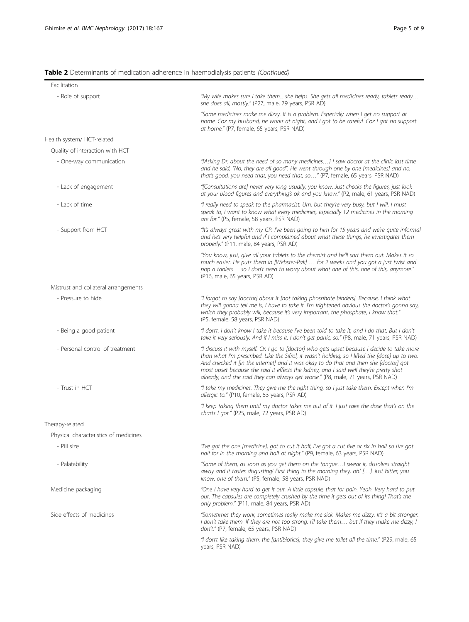## Table 2 Determinants of medication adherence in haemodialysis patients (Continued)

| Facilitation                          |                                                                                                                                                                                                                                                                                                                                                                                                                                                                       |
|---------------------------------------|-----------------------------------------------------------------------------------------------------------------------------------------------------------------------------------------------------------------------------------------------------------------------------------------------------------------------------------------------------------------------------------------------------------------------------------------------------------------------|
| - Role of support                     | "My wife makes sure I take them she helps. She gets all medicines ready, tablets ready<br>she does all, mostly." (P27, male, 79 years, PSR AD)                                                                                                                                                                                                                                                                                                                        |
|                                       | "Some medicines make me dizzy. It is a problem. Especially when I get no support at<br>home. Coz my husband, he works at night, and I got to be careful. Coz I got no support<br>at home." (P7, female, 65 years, PSR NAD)                                                                                                                                                                                                                                            |
| Health system/ HCT-related            |                                                                                                                                                                                                                                                                                                                                                                                                                                                                       |
| Quality of interaction with HCT       |                                                                                                                                                                                                                                                                                                                                                                                                                                                                       |
| - One-way communication               | "[Asking Dr. about the need of so many medicines] I saw doctor at the clinic last time<br>and he said, "No, they are all good". He went through one by one [medicines] and no,<br>that's good, you need that, you need that, so" (P7, female, 65 years, PSR NAD)                                                                                                                                                                                                      |
| - Lack of engagement                  | "[Consultations are] never very long usually, you know. Just checks the figures, just look<br>at your blood figures and everything's ok and you know." (P2, male, 61 years, PSR NAD)                                                                                                                                                                                                                                                                                  |
| - Lack of time                        | "I really need to speak to the pharmacist. Um, but they're very busy, but I will, I must<br>speak to, I want to know what every medicines, especially 12 medicines in the morning<br>are for." (P5, female, 58 years, PSR NAD)                                                                                                                                                                                                                                        |
| - Support from HCT                    | "It's always great with my GP. I've been going to him for 15 years and we're quite informal<br>and he's very helpful and if I complained about what these things, he investigates them<br>properly." (P11, male, 84 years, PSR AD)                                                                                                                                                                                                                                    |
|                                       | "You know, just, give all your tablets to the chemist and he'll sort them out. Makes it so<br>much easier. He puts them in [Webster-Pak]  for 2 weeks and you got a just twist and<br>pop a tablets so I don't need to worry about what one of this, one of this, anymore."<br>(P16, male, 65 years, PSR AD)                                                                                                                                                          |
| Mistrust and collateral arrangements  |                                                                                                                                                                                                                                                                                                                                                                                                                                                                       |
| - Pressure to hide                    | "I forgot to say [doctor] about it [not taking phosphate binders]. Because, I think what<br>they will gonna tell me is, I have to take it. I'm frightened obvious the doctor's gonna say,<br>which they probably will, because it's very important, the phosphate, I know that."<br>(P5, female, 58 years, PSR NAD)                                                                                                                                                   |
| - Being a good patient                | "I don't. I don't know I take it because I've been told to take it, and I do that. But I don't<br>take it very seriously. And if I miss it, I don't get panic, so." (P8, male, 71 years, PSR NAD)                                                                                                                                                                                                                                                                     |
| - Personal control of treatment       | "I discuss it with myself. Or, I go to [doctor] who gets upset because I decide to take more<br>than what I'm prescribed. Like the Sifrol, it wasn't holding, so I lifted the [dose] up to two.<br>And checked it [in the internet] and it was okay to do that and then she [doctor] got<br>most upset because she said it effects the kidney, and I said well they're pretty shot<br>already, and she said they can always get worse." (P8, male, 71 years, PSR NAD) |
| - Trust in HCT                        | "I take my medicines. They give me the right thing, so I just take them. Except when I'm<br>allergic to." (P10, female, 53 years, PSR AD)                                                                                                                                                                                                                                                                                                                             |
|                                       | "I keep taking them until my doctor takes me out of it. I just take the dose that's on the<br>charts I got." (P25, male, 72 years, PSR AD)                                                                                                                                                                                                                                                                                                                            |
| Therapy-related                       |                                                                                                                                                                                                                                                                                                                                                                                                                                                                       |
| Physical characteristics of medicines |                                                                                                                                                                                                                                                                                                                                                                                                                                                                       |
| - Pill size                           | "I've got the one [medicine], got to cut it half, I've got a cut five or six in half so I've got<br>half for in the morning and half at night." (P9, female, 63 years, PSR NAD)                                                                                                                                                                                                                                                                                       |
| - Palatability                        | "Some of them, as soon as you get them on the tongueI swear it, dissolves straight<br>away and it tastes disgusting! First thing in the morning they, oh! [] Just bitter, you<br>know, one of them." (P5, female, 58 years, PSR NAD)                                                                                                                                                                                                                                  |
| Medicine packaging                    | "One I have very hard to get it out. A little capsule, that for pain. Yeah. Very hard to put<br>out. The capsules are completely crushed by the time it gets out of its thing! That's the<br>only problem." (P11, male, 84 years, PSR AD)                                                                                                                                                                                                                             |
| Side effects of medicines             | "Sometimes they work, sometimes really make me sick. Makes me dizzy. It's a bit stronger.<br>I don't take them. If they are not too strong, I'll take them but if they make me dizzy, I<br>don't." (P7, female, 65 years, PSR NAD)                                                                                                                                                                                                                                    |
|                                       | "I don't like taking them, the [antibiotics], they give me toilet all the time." (P29, male, 65<br>years, PSR NAD)                                                                                                                                                                                                                                                                                                                                                    |
|                                       |                                                                                                                                                                                                                                                                                                                                                                                                                                                                       |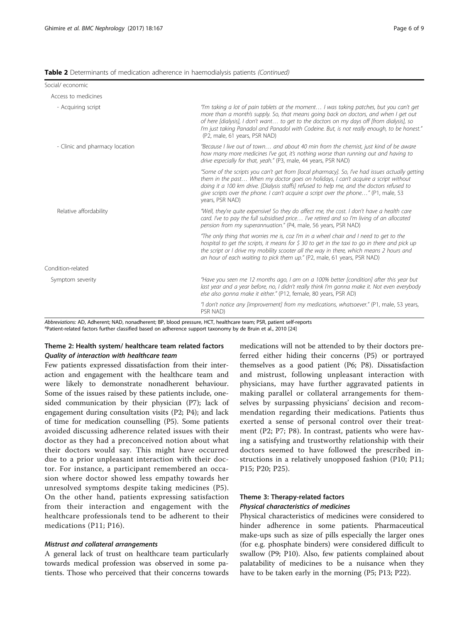| "I'm taking a lot of pain tablets at the moment I was taking patches, but you can't get<br>more than a month's supply. So, that means going back on doctors, and when I get out<br>of here [dialysis], I don't want to get to the doctors on my days off [from dialysis], so<br>I'm just taking Panadol and Panadol with Codeine. But, is not really enough, to be honest."<br>(P2, male, 61 years, PSR NAD) |
|--------------------------------------------------------------------------------------------------------------------------------------------------------------------------------------------------------------------------------------------------------------------------------------------------------------------------------------------------------------------------------------------------------------|
| "Because I live out of town and about 40 min from the chemist, just kind of be aware<br>how many more medicines I've got, it's nothing worse than running out and having to<br>drive especially for that, yeah." (P3, male, 44 years, PSR NAD)                                                                                                                                                               |
| "Some of the scripts you can't get from [local pharmacy]. So, I've had issues actually getting<br>them in the past When my doctor goes on holidays, I can't acquire a script without<br>doing it a 100 km drive. [Dialysis staffs] refused to help me, and the doctors refused to<br>give scripts over the phone. I can't acquire a script over the phone" (P1, male, 53<br>years, PSR NAD)                  |
| "Well, they're quite expensive! So they do affect me, the cost. I don't have a health care<br>card. I've to pay the full subsidised price I've retired and so I'm living of an allocated<br>pension from my superannuation." (P4, male, 56 years, PSR NAD)                                                                                                                                                   |
| "The only thing that worries me is, coz I'm in a wheel chair and I need to get to the<br>hospital to get the scripts, it means for \$ 30 to get in the taxi to go in there and pick up<br>the script or I drive my mobility scooter all the way in there, which means 2 hours and<br>an hour of each waiting to pick them up." (P2, male, 61 years, PSR NAD)                                                 |
|                                                                                                                                                                                                                                                                                                                                                                                                              |
| "Have you seen me 12 months ago, I am on a 100% better [condition] after this year but<br>last year and a year before, no, I didn't really think I'm gonna make it. Not even everybody<br>else also gonna make it either." (P12, female, 80 years, PSR AD)                                                                                                                                                   |
| "I don't notice any [improvement] from my medications, whatsoever." (P1, male, 53 years,<br>PSR NAD)                                                                                                                                                                                                                                                                                                         |
|                                                                                                                                                                                                                                                                                                                                                                                                              |

Abbreviations: AD, Adherent; NAD, nonadherent; BP, blood pressure, HCT, healthcare team; PSR, patient self-reports <sup>a</sup> <sup>a</sup>Patient-related factors further classified based on adherence support taxonomy by de Bruin et al., 2010 [\[24](#page-8-0)]

## Theme 2: Health system/ healthcare team related factors Quality of interaction with healthcare team

Few patients expressed dissatisfaction from their interaction and engagement with the healthcare team and were likely to demonstrate nonadherent behaviour. Some of the issues raised by these patients include, onesided communication by their physician (P7); lack of engagement during consultation visits (P2; P4); and lack of time for medication counselling (P5). Some patients avoided discussing adherence related issues with their doctor as they had a preconceived notion about what their doctors would say. This might have occurred due to a prior unpleasant interaction with their doctor. For instance, a participant remembered an occasion where doctor showed less empathy towards her unresolved symptoms despite taking medicines (P5). On the other hand, patients expressing satisfaction from their interaction and engagement with the healthcare professionals tend to be adherent to their medications (P11; P16).

#### Mistrust and collateral arrangements

A general lack of trust on healthcare team particularly towards medical profession was observed in some patients. Those who perceived that their concerns towards

medications will not be attended to by their doctors preferred either hiding their concerns (P5) or portrayed themselves as a good patient (P6; P8). Dissatisfaction and mistrust, following unpleasant interaction with physicians, may have further aggravated patients in making parallel or collateral arrangements for themselves by surpassing physicians' decision and recommendation regarding their medications. Patients thus exerted a sense of personal control over their treatment (P2; P7; P8). In contrast, patients who were having a satisfying and trustworthy relationship with their doctors seemed to have followed the prescribed instructions in a relatively unopposed fashion (P10; P11; P15; P20; P25).

## Theme 3: Therapy-related factors Physical characteristics of medicines

Physical characteristics of medicines were considered to hinder adherence in some patients. Pharmaceutical make-ups such as size of pills especially the larger ones (for e.g. phosphate binders) were considered difficult to swallow (P9; P10). Also, few patients complained about palatability of medicines to be a nuisance when they have to be taken early in the morning (P5; P13; P22).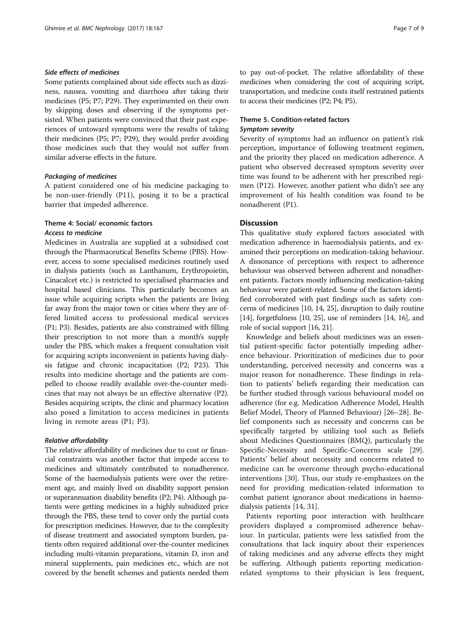## Side effects of medicines

Some patients complained about side effects such as dizziness, nausea, vomiting and diarrhoea after taking their medicines (P5; P7; P29). They experimented on their own by skipping doses and observing if the symptoms persisted. When patients were convinced that their past experiences of untoward symptoms were the results of taking their medicines (P5; P7; P29), they would prefer avoiding those medicines such that they would not suffer from similar adverse effects in the future.

## Packaging of medicines

A patient considered one of his medicine packaging to be non-user-friendly (P11), posing it to be a practical barrier that impeded adherence.

## Theme 4: Social/ economic factors Access to medicine

Medicines in Australia are supplied at a subsidised cost through the Pharmaceutical Benefits Scheme (PBS). However, access to some specialised medicines routinely used in dialysis patients (such as Lanthanum, Erythropoietin, Cinacalcet etc.) is restricted to specialised pharmacies and hospital based clinicians. This particularly becomes an issue while acquiring scripts when the patients are living far away from the major town or cities where they are offered limited access to professional medical services (P1; P3). Besides, patients are also constrained with filling their prescription to not more than a month's supply under the PBS, which makes a frequent consultation visit for acquiring scripts inconvenient in patients having dialysis fatigue and chronic incapacitation (P2; P23). This results into medicine shortage and the patients are compelled to choose readily available over-the-counter medicines that may not always be an effective alternative (P2). Besides acquiring scripts, the clinic and pharmacy location also posed a limitation to access medicines in patients living in remote areas (P1; P3).

## Relative affordability

The relative affordability of medicines due to cost or financial constraints was another factor that impede access to medicines and ultimately contributed to nonadherence. Some of the haemodialysis patients were over the retirement age, and mainly lived on disability support pension or superannuation disability benefits (P2; P4). Although patients were getting medicines in a highly subsidized price through the PBS, these tend to cover only the partial costs for prescription medicines. However, due to the complexity of disease treatment and associated symptom burden, patients often required additional over-the-counter medicines including multi-vitamin preparations, vitamin D, iron and mineral supplements, pain medicines etc., which are not covered by the benefit schemes and patients needed them to pay out-of-pocket. The relative affordability of these medicines when considering the cost of acquiring script, transportation, and medicine costs itself restrained patients to access their medicines (P2; P4; P5).

## Theme 5. Condition-related factors Symptom severity

Severity of symptoms had an influence on patient's risk perception, importance of following treatment regimen, and the priority they placed on medication adherence. A patient who observed decreased symptom severity over time was found to be adherent with her prescribed regimen (P12). However, another patient who didn't see any improvement of his health condition was found to be nonadherent (P1).

## **Discussion**

This qualitative study explored factors associated with medication adherence in haemodialysis patients, and examined their perceptions on medication-taking behaviour. A dissonance of perceptions with respect to adherence behaviour was observed between adherent and nonadherent patients. Factors mostly influencing medication-taking behaviour were patient-related. Some of the factors identified corroborated with past findings such as safety concerns of medicines [[10](#page-8-0), [14](#page-8-0), [25\]](#page-8-0), disruption to daily routine [[14](#page-8-0)], forgetfulness [\[10, 25\]](#page-8-0), use of reminders [14, [16](#page-8-0)], and role of social support [[16](#page-8-0), [21\]](#page-8-0).

Knowledge and beliefs about medicines was an essential patient-specific factor potentially impeding adherence behaviour. Prioritization of medicines due to poor understanding, perceived necessity and concerns was a major reason for nonadherence. These findings in relation to patients' beliefs regarding their medication can be further studied through various behavioural model on adherence (for e.g. Medication Adherence Model, Health Belief Model, Theory of Planned Behaviour) [[26](#page-8-0)–[28](#page-8-0)]. Belief components such as necessity and concerns can be specifically targeted by utilizing tool such as Beliefs about Medicines Questionnaires (BMQ), particularly the Specific-Necessity and Specific-Concerns scale [\[29](#page-8-0)]. Patients' belief about necessity and concerns related to medicine can be overcome through psycho-educational interventions [[30\]](#page-8-0). Thus, our study re-emphasizes on the need for providing medication-related information to combat patient ignorance about medications in haemodialysis patients [\[14](#page-8-0), [31\]](#page-8-0).

Patients reporting poor interaction with healthcare providers displayed a compromised adherence behaviour. In particular, patients were less satisfied from the consultations that lack inquiry about their experiences of taking medicines and any adverse effects they might be suffering. Although patients reporting medicationrelated symptoms to their physician is less frequent,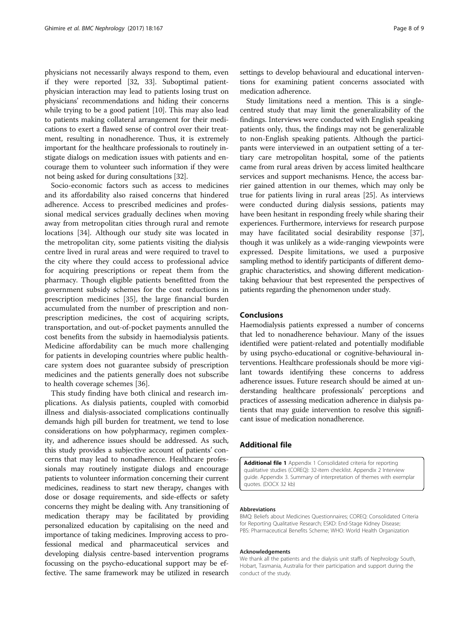<span id="page-7-0"></span>physicians not necessarily always respond to them, even if they were reported [[32, 33\]](#page-8-0). Suboptimal patientphysician interaction may lead to patients losing trust on physicians' recommendations and hiding their concerns while trying to be a good patient [\[10](#page-8-0)]. This may also lead to patients making collateral arrangement for their medications to exert a flawed sense of control over their treatment, resulting in nonadherence. Thus, it is extremely important for the healthcare professionals to routinely instigate dialogs on medication issues with patients and encourage them to volunteer such information if they were not being asked for during consultations [[32](#page-8-0)].

Socio-economic factors such as access to medicines and its affordability also raised concerns that hindered adherence. Access to prescribed medicines and professional medical services gradually declines when moving away from metropolitan cities through rural and remote locations [\[34\]](#page-8-0). Although our study site was located in the metropolitan city, some patients visiting the dialysis centre lived in rural areas and were required to travel to the city where they could access to professional advice for acquiring prescriptions or repeat them from the pharmacy. Though eligible patients benefitted from the government subsidy schemes for the cost reductions in prescription medicines [[35](#page-8-0)], the large financial burden accumulated from the number of prescription and nonprescription medicines, the cost of acquiring scripts, transportation, and out-of-pocket payments annulled the cost benefits from the subsidy in haemodialysis patients. Medicine affordability can be much more challenging for patients in developing countries where public healthcare system does not guarantee subsidy of prescription medicines and the patients generally does not subscribe to health coverage schemes [[36\]](#page-8-0).

This study finding have both clinical and research implications. As dialysis patients, coupled with comorbid illness and dialysis-associated complications continually demands high pill burden for treatment, we tend to lose considerations on how polypharmacy, regimen complexity, and adherence issues should be addressed. As such, this study provides a subjective account of patients' concerns that may lead to nonadherence. Healthcare professionals may routinely instigate dialogs and encourage patients to volunteer information concerning their current medicines, readiness to start new therapy, changes with dose or dosage requirements, and side-effects or safety concerns they might be dealing with. Any transitioning of medication therapy may be facilitated by providing personalized education by capitalising on the need and importance of taking medicines. Improving access to professional medical and pharmaceutical services and developing dialysis centre-based intervention programs focussing on the psycho-educational support may be effective. The same framework may be utilized in research

settings to develop behavioural and educational interventions for examining patient concerns associated with medication adherence.

Study limitations need a mention. This is a singlecentred study that may limit the generalizability of the findings. Interviews were conducted with English speaking patients only, thus, the findings may not be generalizable to non-English speaking patients. Although the participants were interviewed in an outpatient setting of a tertiary care metropolitan hospital, some of the patients came from rural areas driven by access limited healthcare services and support mechanisms. Hence, the access barrier gained attention in our themes, which may only be true for patients living in rural areas [\[25\]](#page-8-0). As interviews were conducted during dialysis sessions, patients may have been hesitant in responding freely while sharing their experiences. Furthermore, interviews for research purpose may have facilitated social desirability response [[37](#page-8-0)], though it was unlikely as a wide-ranging viewpoints were expressed. Despite limitations, we used a purposive sampling method to identify participants of different demographic characteristics, and showing different medicationtaking behaviour that best represented the perspectives of patients regarding the phenomenon under study.

## **Conclusions**

Haemodialysis patients expressed a number of concerns that led to nonadherence behaviour. Many of the issues identified were patient-related and potentially modifiable by using psycho-educational or cognitive-behavioural interventions. Healthcare professionals should be more vigilant towards identifying these concerns to address adherence issues. Future research should be aimed at understanding healthcare professionals' perceptions and practices of assessing medication adherence in dialysis patients that may guide intervention to resolve this significant issue of medication nonadherence.

## Additional file

[Additional file 1](dx.doi.org/10.1186/s12882-017-0583-9) Appendix 1 Consolidated criteria for reporting qualitative studies (COREQ): 32-item checklist. Appendix 2 Interview guide. Appendix 3. Summary of interpretation of themes with exemplar quotes. (DOCX 32 kb)

#### Abbreviations

BMQ: Beliefs about Medicines Questionnaires; COREQ: Consolidated Criteria for Reporting Qualitative Research; ESKD: End-Stage Kidney Disease; PBS: Pharmaceutical Benefits Scheme; WHO: World Health Organization

#### Acknowledgements

We thank all the patients and the dialysis unit staffs of Nephrology South, Hobart, Tasmania, Australia for their participation and support during the conduct of the study.